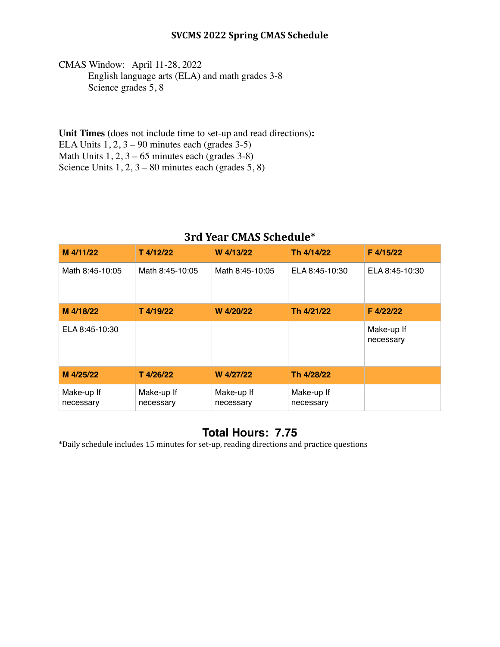CMAS Window: April 11-28, 2022 English language arts (ELA) and math grades 3-8 Science grades 5, 8

**Unit Times (**does not include time to set-up and read directions)**:** ELA Units 1, 2, 3 – 90 minutes each (grades 3-5) Math Units  $1, 2, 3 - 65$  minutes each (grades 3-8) Science Units  $1, 2, 3 - 80$  minutes each (grades  $5, 8$ )

## **3rd Year CMAS Schedule**\*

| M 4/11/22               | T 4/12/22               | W 4/13/22               | Th 4/14/22              | F 4/15/22               |
|-------------------------|-------------------------|-------------------------|-------------------------|-------------------------|
| Math 8:45-10:05         | Math 8:45-10:05         | Math 8:45-10:05         | ELA 8:45-10:30          | ELA 8:45-10:30          |
| M 4/18/22               | T 4/19/22               | W 4/20/22               | Th 4/21/22              | F 4/22/22               |
| ELA 8:45-10:30          |                         |                         |                         | Make-up If<br>necessary |
| M 4/25/22               | T 4/26/22               | W 4/27/22               | Th 4/28/22              |                         |
| Make-up If<br>necessary | Make-up If<br>necessary | Make-up If<br>necessary | Make-up If<br>necessary |                         |

## **Total Hours: 7.75**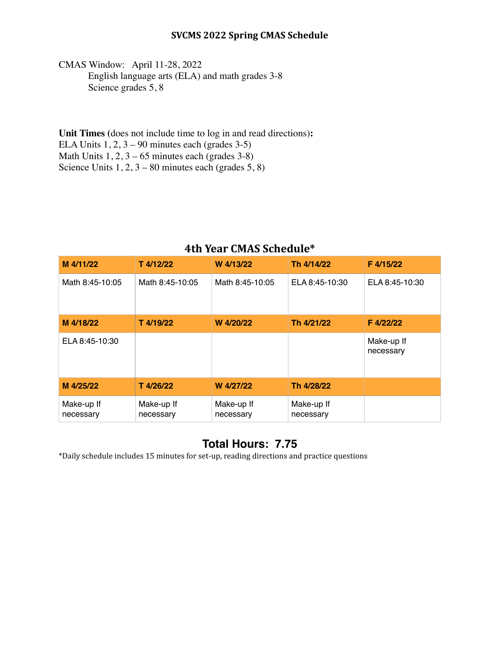CMAS Window: April 11-28, 2022 English language arts (ELA) and math grades 3-8 Science grades 5, 8

**Unit Times (**does not include time to log in and read directions)**:** ELA Units 1, 2, 3 – 90 minutes each (grades 3-5) Math Units  $1, 2, 3 - 65$  minutes each (grades 3-8) Science Units  $1, 2, 3 - 80$  minutes each (grades  $5, 8$ )

| M 4/11/22               | T 4/12/22               | W 4/13/22               | Th 4/14/22              | F 4/15/22               |
|-------------------------|-------------------------|-------------------------|-------------------------|-------------------------|
| Math 8:45-10:05         | Math 8:45-10:05         | Math 8:45-10:05         | ELA 8:45-10:30          | ELA 8:45-10:30          |
| M 4/18/22               | T 4/19/22               | W 4/20/22               | Th 4/21/22              | F 4/22/22               |
| ELA 8:45-10:30          |                         |                         |                         | Make-up If<br>necessary |
| M 4/25/22               | T 4/26/22               | W 4/27/22               | Th 4/28/22              |                         |
| Make-up If<br>necessary | Make-up If<br>necessary | Make-up If<br>necessary | Make-up If<br>necessary |                         |

## **4th Year CMAS Schedule\***

# **Total Hours: 7.75**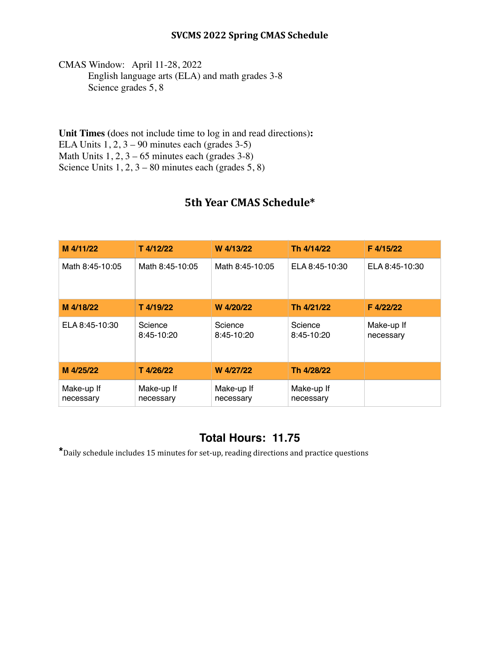CMAS Window: April 11-28, 2022 English language arts (ELA) and math grades 3-8 Science grades 5, 8

**Unit Times (**does not include time to log in and read directions)**:** ELA Units 1, 2, 3 – 90 minutes each (grades 3-5) Math Units  $1, 2, 3 - 65$  minutes each (grades 3-8) Science Units  $1, 2, 3 - 80$  minutes each (grades  $5, 8$ )

# **5th Year CMAS Schedule\***

| M 4/11/22               | T 4/12/22               | W 4/13/22               | Th 4/14/22              | F 4/15/22               |
|-------------------------|-------------------------|-------------------------|-------------------------|-------------------------|
| Math 8:45-10:05         | Math 8:45-10:05         | Math 8:45-10:05         | ELA 8:45-10:30          | ELA 8:45-10:30          |
| M 4/18/22               | T 4/19/22               | W 4/20/22               | Th 4/21/22              | F 4/22/22               |
| ELA 8:45-10:30          | Science<br>8:45-10:20   | Science<br>8:45-10:20   | Science<br>8:45-10:20   | Make-up If<br>necessary |
| M 4/25/22               | T4/26/22                | W 4/27/22               | Th 4/28/22              |                         |
| Make-up If<br>necessary | Make-up If<br>necessary | Make-up If<br>necessary | Make-up If<br>necessary |                         |

# **Total Hours: 11.75**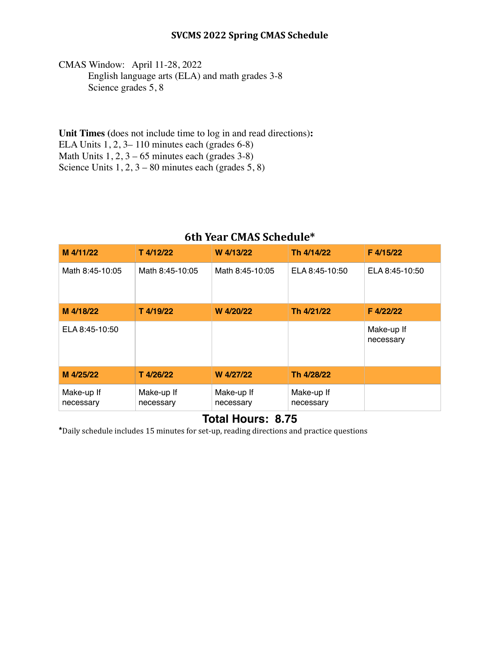CMAS Window: April 11-28, 2022 English language arts (ELA) and math grades 3-8 Science grades 5, 8

**Unit Times (**does not include time to log in and read directions)**:** ELA Units 1, 2, 3– 110 minutes each (grades 6-8) Math Units  $1, 2, 3 - 65$  minutes each (grades 3-8) Science Units  $1, 2, 3 - 80$  minutes each (grades  $5, 8$ )

## **6th Year CMAS Schedule\***

| M 4/11/22               | T 4/12/22               | W 4/13/22               | Th 4/14/22              | F 4/15/22               |
|-------------------------|-------------------------|-------------------------|-------------------------|-------------------------|
| Math 8:45-10:05         | Math 8:45-10:05         | Math 8:45-10:05         | ELA 8:45-10:50          | ELA 8:45-10:50          |
| M 4/18/22               | T 4/19/22               | W 4/20/22               | Th 4/21/22              | F 4/22/22               |
| ELA 8:45-10:50          |                         |                         |                         | Make-up If<br>necessary |
| M 4/25/22               | T 4/26/22               | W 4/27/22               | Th 4/28/22              |                         |
| Make-up If<br>necessary | Make-up If<br>necessary | Make-up If<br>necessary | Make-up If<br>necessary |                         |

**Total Hours: 8.75**<br>\*Daily schedule includes 15 minutes for set-up, reading directions and practice questions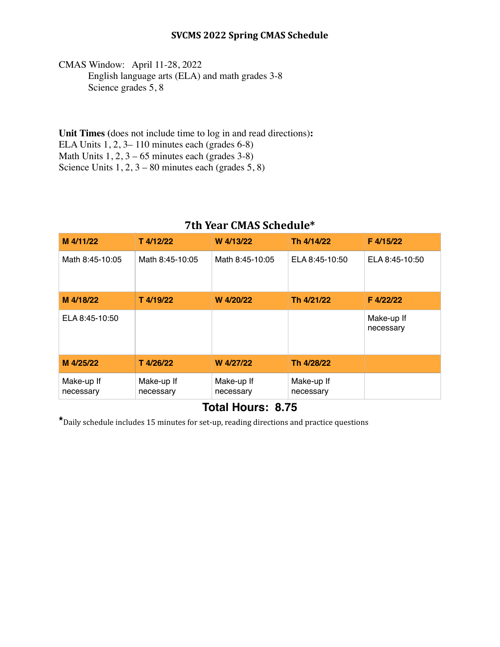CMAS Window: April 11-28, 2022 English language arts (ELA) and math grades 3-8 Science grades 5, 8

**Unit Times (**does not include time to log in and read directions)**:** ELA Units 1, 2, 3– 110 minutes each (grades 6-8) Math Units  $1, 2, 3 - 65$  minutes each (grades 3-8) Science Units  $1, 2, 3 - 80$  minutes each (grades  $5, 8$ )

## **7th Year CMAS Schedule\***

| M 4/11/22               | T 4/12/22               | W 4/13/22               | Th 4/14/22              | F 4/15/22               |
|-------------------------|-------------------------|-------------------------|-------------------------|-------------------------|
| Math 8:45-10:05         | Math 8:45-10:05         | Math 8:45-10:05         | ELA 8:45-10:50          | ELA 8:45-10:50          |
| M 4/18/22               | T 4/19/22               | W 4/20/22               | Th 4/21/22              | F 4/22/22               |
| ELA 8:45-10:50          |                         |                         |                         | Make-up If<br>necessary |
| M 4/25/22               | T 4/26/22               | W 4/27/22               | Th 4/28/22              |                         |
| Make-up If<br>necessary | Make-up If<br>necessary | Make-up If<br>necessary | Make-up If<br>necessary |                         |

## **Total Hours: 8.75**